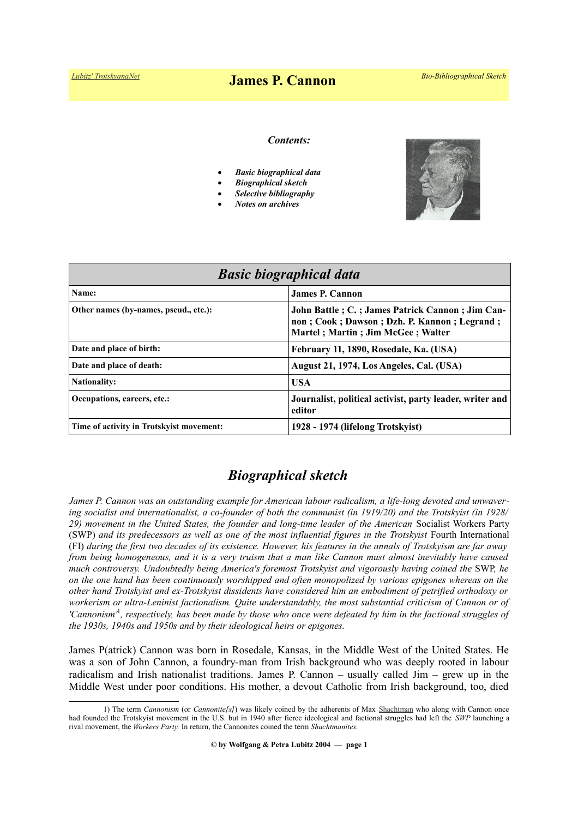# *[Lubitz' TrotskyanaNet](https://www.trotskyana.net/)* **James P. Cannon** *Bio-Bibliographical Sketch*

#### *Contents:*

- *Basic biographical data*
- *Biographical sketch*
- *Selective bibliography*
- *Notes on archives*



| <b>Basic biographical data</b>            |                                                                                                                                     |
|-------------------------------------------|-------------------------------------------------------------------------------------------------------------------------------------|
| Name:                                     | <b>James P. Cannon</b>                                                                                                              |
| Other names (by-names, pseud., etc.):     | John Battle; C.; James Patrick Cannon; Jim Can-<br>non; Cook; Dawson; Dzh. P. Kannon; Legrand;<br>Martel; Martin; Jim McGee; Walter |
| Date and place of birth:                  | February 11, 1890, Rosedale, Ka. (USA)                                                                                              |
| Date and place of death:                  | August 21, 1974, Los Angeles, Cal. (USA)                                                                                            |
| <b>Nationality:</b>                       | <b>USA</b>                                                                                                                          |
| Occupations, careers, etc.:               | Journalist, political activist, party leader, writer and<br>editor                                                                  |
| Time of activity in Trotsky ist movement: | 1928 - 1974 (lifelong Trotskyist)                                                                                                   |

## *Biographical sketch*

*James P. Cannon was an outstanding example for American labour radicalism, a life-long devoted and unwavering socialist and internationalist, a co-founder of both the communist (in 1919/20) and the Trotskyist (in 1928/ 29) movement in the United States, the founder and long-time leader of the American* Socialist Workers Party (SWP) and its predecessors as well as one of the most influential figures in the Trotskyist Fourth International (FI) *during the first two decades of its existence. However, his features in the annals of Trotskyism are far away from being homogeneous, and it is a very truism that a man like Cannon must almost inevitably have caused much controversy. Undoubtedly being America's foremost Trotskyist and vigorously having coined the* SWP*, he on the one hand has been continuously worshipped and often monopolized by various epigones whereas on the other hand Trotskyist and ex-Trotskyist dissidents have considered him an embodiment of petrified orthodoxy or workerism or ultra-Leninist factionalism. Quite understandably, the most substantial criticism of Cannon or of 'Cannonism'*[1](#page-0-0) *, respectively, has been made by those who once were defeated by him in the factional struggles of the 1930s, 1940s and 1950s and by their ideological heirs or epigones.*

James P(atrick) Cannon was born in Rosedale, Kansas, in the Middle West of the United States. He was a son of John Cannon, a foundry-man from Irish background who was deeply rooted in labour radicalism and Irish nationalist traditions. James P. Cannon – usually called Jim – grew up in the Middle West under poor conditions. His mother, a devout Catholic from Irish background, too, died

<span id="page-0-0"></span><sup>1)</sup> The term *Cannonism* (or *Cannonite[s]*) was likely coined by the adherents of Max [Shachtman](https://www.trotskyana.net/Trotskyists/Bio-Bibliographies/bio-bibl_shachtman.pdf) who along with Cannon once had founded the Trotskyist movement in the U.S. but in 1940 after fierce ideological and factional struggles had left the *SWP* launching a rival movement, the *Workers Party.* In return, the Cannonites coined the term *Shachtmanites.*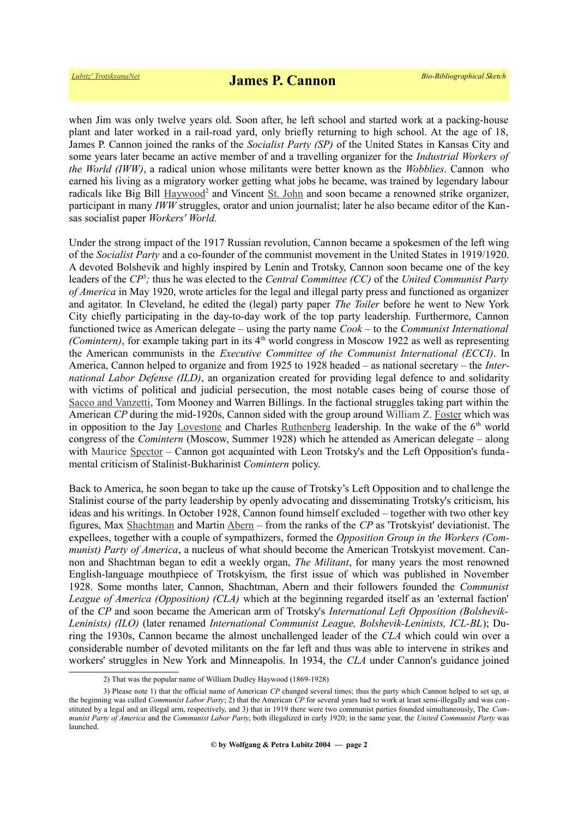when Jim was only twelve years old. Soon after, he left school and started work at a packing-house plant and later worked in a rail-road yard, only briefly returning to high school. At the age of 18, James P. Cannon joined the ranks of the *Socialist Party (SP)* of the United States in Kansas City and some years later became an active member of and a travelling organizer for the *Industrial Workers of the World (IWW)*, a radical union whose militants were better known as the *Wobblies*. Cannon who earned his living as a migratory worker getting what jobs he became, was trained by legendary labour radicals like Big Bill [Haywood](https://en.wikipedia.org/wiki/Bill_Haywood)<sup>[2](#page-1-0)</sup> and Vincent [St. John](https://en.wikipedia.org/wiki/Vincent_Saint_John) and soon became a renowned strike organizer, participant in many *IWW* struggles, orator and union journalist; later he also became editor of the Kansas socialist paper *Workers' World.*

Under the strong impact of the 1917 Russian revolution, Cannon became a spokesmen of the left wing of the *Socialist Party* and a co-founder of the communist movement in the United States in 1919/1920. A devoted Bolshevik and highly inspired by Lenin and Trotsky, Cannon soon became one of the key leaders of the *CP*[3](#page-1-1) *;* thus he was elected to the *Central Committee (CC)* of the *United Communist Party of America* in May 1920, wrote articles for the legal and illegal party press and functioned as organizer and agitator. In Cleveland, he edited the (legal) party paper *The Toiler* before he went to New York City chiefly participating in the day-to-day work of the top party leadership. Furthermore, Cannon functioned twice as American delegate – using the party name *Cook* – to the *Communist International (Comintern)*, for example taking part in its  $4<sup>th</sup>$  world congress in Moscow 1922 as well as representing the American communists in the *Executive Committee of the Communist International (ECCI)*. In America, Cannon helped to organize and from 1925 to 1928 headed – as national secretary – the *International Labor Defense (ILD)*, an organization created for providing legal defence to and solidarity with victims of political and judicial persecution, the most notable cases being of course those of [Sacco and Vanzetti,](https://de.wikipedia.org/wiki/Sacco_und_Vanzetti) Tom Mooney and Warren Billings. In the factional struggles taking part within the American *CP* during the mid-1920s, Cannon sided with the group around [William Z. Foster](https://en.wikipedia.org/wiki/William_Z._Foster) which was in opposition to the Jay [Lovestone](https://en.wikipedia.org/wiki/Jay_Lovestone) and Charles [Ruthenberg](https://en.wikipedia.org/wiki/C._E._Ruthenberg) leadership. In the wake of the  $6<sup>th</sup>$  world congress of the *Comintern* (Moscow, Summer 1928) which he attended as American delegate – along with [Maurice Spector](https://en.wikipedia.org/wiki/Maurice_Spector) – Cannon got acquainted with Leon Trotsky's and the Left Opposition's fundamental criticism of Stalinist-Bukharinist *Comintern* policy.

Back to America, he soon began to take up the cause of Trotsky's Left Opposition and to challenge the Stalinist course of the party leadership by openly advocating and disseminating Trotsky's criticism, his ideas and his writings. In October 1928, Cannon found himself excluded – together with two other key figures, Max [Shachtman](https://www.trotskyana.net/Trotskyists/Bio-Bibliographies/bio-bibl_shachtman.pdf) and Martin [Abern](https://www.trotskyana.net/Trotskyists/Bio-Bibliographies/bio-bibl_abern.pdf) – from the ranks of the *CP* as 'Trotskyist' deviationist. The expellees, together with a couple of sympathizers, formed the *Opposition Group in the Workers (Communist) Party of America*, a nucleus of what should become the American Trotskyist movement. Cannon and Shachtman began to edit a weekly organ, *The Militant*, for many years the most renowned English-language mouthpiece of Trotskyism, the first issue of which was published in November 1928. Some months later, Cannon, Shachtman, Abern and their followers founded the *Communist League of America (Opposition) (CLA)* which at the beginning regarded itself as an 'external faction' of the *CP* and soon became the American arm of Trotsky's *International Left Opposition (Bolshevik-Leninists) (ILO)* (later renamed *International Communist League, Bolshevik-Leninists, ICL-BL*); During the 1930s, Cannon became the almost unchallenged leader of the *CLA* which could win over a considerable number of devoted militants on the far left and thus was able to intervene in strikes and workers' struggles in New York and Minneapolis. In 1934, the *CLA* under Cannon's guidance joined

<span id="page-1-1"></span><span id="page-1-0"></span><sup>2)</sup> That was the popular name of William Dudley Haywood (1869-1928)

<sup>3)</sup> Please note 1) that the official name of American *CP* changed several times; thus the party which Cannon helped to set up, at the beginning was called *Communist Labor Party*; 2) that the American *CP* for several years had to work at least semi-illegally and was constituted by a legal and an illegal arm, respectively, and 3) that in 1919 there were two communist parties founded simultaneously, The *Communist Party of America* and the *Communist Labor Party*, both illegalized in early 1920; in the same year, the *United Communist Party* was launched.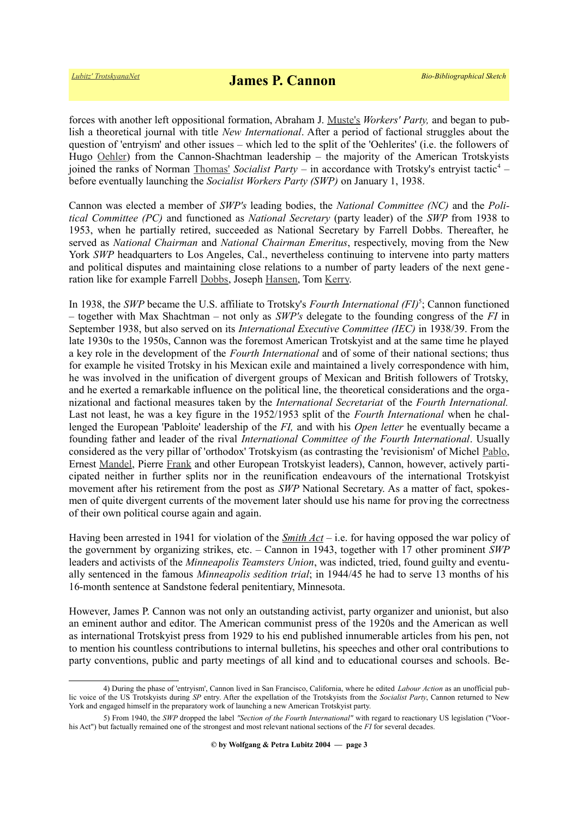forces with another left oppositional formation, Abraham J. [Muste's](https://en.wikipedia.org/wiki/A._J._Muste) *Workers' Party,* and began to publish a theoretical journal with title *New International*. After a period of factional struggles about the question of 'entryism' and other issues – which led to the split of the 'Oehlerites' (i.e. the followers of Hugo [Oehler\)](https://en.wikipedia.org/wiki/Hugo_Oehler) from the Cannon-Shachtman leadership – the majority of the American Trotskyists joined the ranks of Norman [Thomas'](https://en.wikipedia.org/wiki/Norman_Thomas) Socialist Party – in accordance with Trotsky's entryist tactic<sup>[4](#page-2-0)</sup> before eventually launching the *Socialist Workers Party (SWP)* on January 1, 1938.

Cannon was elected a member of *SWP's* leading bodies, the *National Committee (NC)* and the *Political Committee (PC)* and functioned as *National Secretary* (party leader) of the *SWP* from 1938 to 1953, when he partially retired, succeeded as National Secretary by Farrell Dobbs. Thereafter, he served as *National Chairman* and *National Chairman Emeritus*, respectively, moving from the New York *SWP* headquarters to Los Angeles, Cal., nevertheless continuing to intervene into party matters and political disputes and maintaining close relations to a number of party leaders of the next gene - ration like for example Farrell [Dobbs,](https://en.wikipedia.org/wiki/Farrell_Dobbs) Joseph [Hansen,](https://www.trotskyana.net/Trotskyists/Bio-Bibliographies/bio-bibl_hansen_j.pdf) Tom [Kerry.](https://www.trotskyana.net/Trotskyists/Bio-Bibliographies/bio-bibl_kerry.pdf)

In 1938, the *SWP* became the U.S. affiliate to Trotsky's *Fourth International (FI)*<sup>[5](#page-2-1)</sup>; Cannon functioned – together with Max Shachtman – not only as *SWP's* delegate to the founding congress of the *FI* in September 1938, but also served on its *International Executive Committee (IEC)* in 1938/39. From the late 1930s to the 1950s, Cannon was the foremost American Trotskyist and at the same time he played a key role in the development of the *Fourth International* and of some of their national sections; thus for example he visited Trotsky in his Mexican exile and maintained a lively correspondence with him, he was involved in the unification of divergent groups of Mexican and British followers of Trotsky, and he exerted a remarkable influence on the political line, the theoretical considerations and the organizational and factional measures taken by the *International Secretariat* of the *Fourth International.* Last not least, he was a key figure in the 1952/1953 split of the *Fourth International* when he challenged the European 'Pabloite' leadership of the *FI,* and with his *Open letter* he eventually became a founding father and leader of the rival *International Committee of the Fourth International*. Usually considered as the very pillar of 'orthodox' Trotskyism (as contrasting the 'revisionism' of Michel [Pablo,](http://www.trotskyana.net/Trotskyists/Bio-Bibliographies/bio-bibl_pablo.pdf) Ernest [Mandel,](http://www.trotskyana.net/Trotskyists/Ernest_Mandel/ernest_mandel.html) Pierre [Frank](http://www.trotskyana.net/Trotskyists/Bio-Bibliographies/bio-bibl_frank.pdf) and other European Trotskyist leaders), Cannon, however, actively participated neither in further splits nor in the reunification endeavours of the international Trotskyist movement after his retirement from the post as *SWP* National Secretary. As a matter of fact, spokesmen of quite divergent currents of the movement later should use his name for proving the correctness of their own political course again and again.

Having been arrested in 1941 for violation of the *[Smith Act](https://en.wikipedia.org/wiki/Smith_Act)* – i.e. for having opposed the war policy of the government by organizing strikes, etc. – Cannon in 1943, together with 17 other prominent *SWP* leaders and activists of the *Minneapolis Teamsters Union*, was indicted, tried, found guilty and eventually sentenced in the famous *Minneapolis sedition trial*; in 1944/45 he had to serve 13 months of his 16-month sentence at Sandstone federal penitentiary, Minnesota.

However, James P. Cannon was not only an outstanding activist, party organizer and unionist, but also an eminent author and editor. The American communist press of the 1920s and the American as well as international Trotskyist press from 1929 to his end published innumerable articles from his pen, not to mention his countless contributions to internal bulletins, his speeches and other oral contributions to party conventions, public and party meetings of all kind and to educational courses and schools. Be-

<span id="page-2-0"></span><sup>4)</sup> During the phase of 'entryism', Cannon lived in San Francisco, California, where he edited *Labour Action* as an unofficial public voice of the US Trotskyists during *SP* entry. After the expellation of the Trotskyists from the *Socialist Party*, Cannon returned to New York and engaged himself in the preparatory work of launching a new American Trotskyist party.

<span id="page-2-1"></span><sup>5)</sup> From 1940, the *SWP* dropped the label *"Section of the Fourth International"* with regard to reactionary US legislation ("Voorhis Act") but factually remained one of the strongest and most relevant national sections of the *FI* for several decades.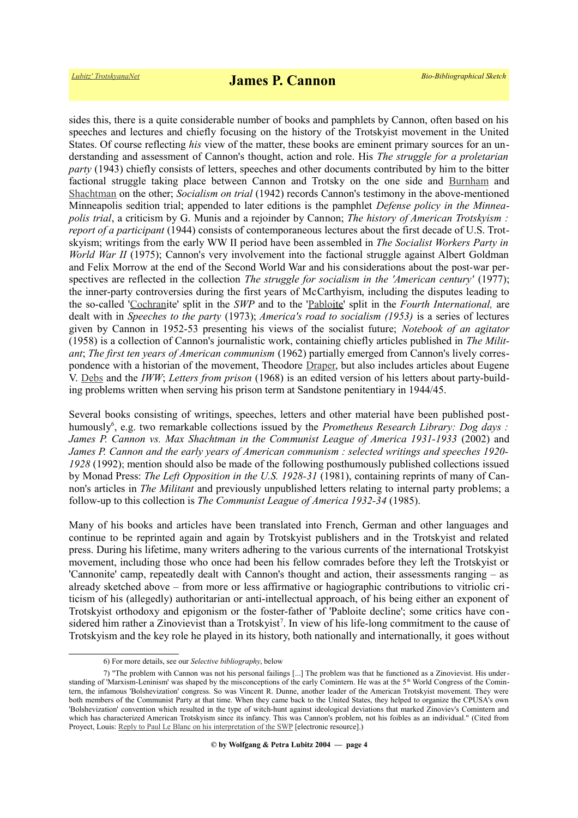sides this, there is a quite considerable number of books and pamphlets by Cannon, often based on his speeches and lectures and chiefly focusing on the history of the Trotskyist movement in the United States. Of course reflecting *his* view of the matter, these books are eminent primary sources for an understanding and assessment of Cannon's thought, action and role. His *The struggle for a proletarian party* (1943) chiefly consists of letters, speeches and other documents contributed by him to the bitter factional struggle taking place between Cannon and Trotsky on the one side and [Burnham](https://en.wikipedia.org/wiki/James_Burnham) and [Shachtman](https://www.trotskyana.net/Trotskyists/Bio-Bibliographies/bio-bibl_shachtman.pdf) on the other; *Socialism on trial* (1942) records Cannon's testimony in the above-mentioned Minneapolis sedition trial; appended to later editions is the pamphlet *Defense policy in the Minneapolis trial*, a criticism by G. Munis and a rejoinder by Cannon; *The history of American Trotskyism : report of a participant* (1944) consists of contemporaneous lectures about the first decade of U.S. Trotskyism; writings from the early WW II period have been assembled in *The Socialist Workers Party in World War II* (1975); Cannon's very involvement into the factional struggle against Albert Goldman and Felix Morrow at the end of the Second World War and his considerations about the post-war perspectives are reflected in the collection *The struggle for socialism in the 'American century'* (1977); the inner-party controversies during the first years of McCarthyism, including the disputes leading to the so-called ['Cochrani](https://www.trotskyana.net/Trotskyists/Bio-Bibliographies/bio-bibl_cochran.pdf)te' split in the *SWP* and to the 'Pabloite' split in the *Fourth International*, are dealt with in *Speeches to the party* (1973); *America's road to socialism (1953)* is a series of lectures given by Cannon in 1952-53 presenting his views of the socialist future; *Notebook of an agitator* (1958) is a collection of Cannon's journalistic work, containing chiefly articles published in *The Militant*; *The first ten years of American communism* (1962) partially emerged from Cannon's lively correspondence with a historian of the movement, Theodore [Draper,](https://en.wikipedia.org/wiki/Theodore_Draper) but also includes articles about Eugene V. [Debs](https://en.wikipedia.org/wiki/Eugene_V._Debs) and the *IWW*; *Letters from prison* (1968) is an edited version of his letters about party-building problems written when serving his prison term at Sandstone penitentiary in 1944/45.

Several books consisting of writings, speeches, letters and other material have been published post-humously<sup>[6](#page-3-0)</sup>, e.g. two remarkable collections issued by the *Prometheus Research Library: Dog days : James P. Cannon vs. Max Shachtman in the Communist League of America 1931-1933* (2002) and *James P. Cannon and the early years of American communism : selected writings and speeches 1920- 1928* (1992); mention should also be made of the following posthumously published collections issued by Monad Press: *The Left Opposition in the U.S. 1928-31* (1981), containing reprints of many of Cannon's articles in *The Militant* and previously unpublished letters relating to internal party problems; a follow-up to this collection is *The Communist League of America 1932-34* (1985).

Many of his books and articles have been translated into French, German and other languages and continue to be reprinted again and again by Trotskyist publishers and in the Trotskyist and related press. During his lifetime, many writers adhering to the various currents of the international Trotskyist movement, including those who once had been his fellow comrades before they left the Trotskyist or 'Cannonite' camp, repeatedly dealt with Cannon's thought and action, their assessments ranging – as already sketched above – from more or less affirmative or hagiographic contributions to vitriolic criticism of his (allegedly) authoritarian or anti-intellectual approach, of his being either an exponent of Trotskyist orthodoxy and epigonism or the foster-father of 'Pabloite decline'; some critics have con-sidered him rather a Zinovievist than a Trotskyist<sup>[7](#page-3-1)</sup>. In view of his life-long commitment to the cause of Trotskyism and the key role he played in its history, both nationally and internationally, it goes without

<span id="page-3-1"></span><span id="page-3-0"></span><sup>6)</sup> For more details, see our *Selective bibliography*, below

<sup>7) &</sup>quot;The problem with Cannon was not his personal failings [...] The problem was that he functioned as a Zinovievist. His understanding of 'Marxism-Leninism' was shaped by the misconceptions of the early Comintern. He was at the 5<sup>th</sup> World Congress of the Comintern, the infamous 'Bolshevization' congress. So was Vincent R. Dunne, another leader of the American Trotskyist movement. They were both members of the Communist Party at that time. When they came back to the United States, they helped to organize the CPUSA's own 'Bolshevization' convention which resulted in the type of witch-hunt against ideological deviations that marked Zinoviev's Comintern and which has characterized American Trotskyism since its infancy. This was Cannon's problem, not his foibles as an individual." (Cited from Proyect, Louis: [Reply to Paul Le Blanc on his interpretation of the SWP](http://www.columbia.edu/~lnp3/mydocs/american_left/reply_to_leblanc.htm) [electronic resource].)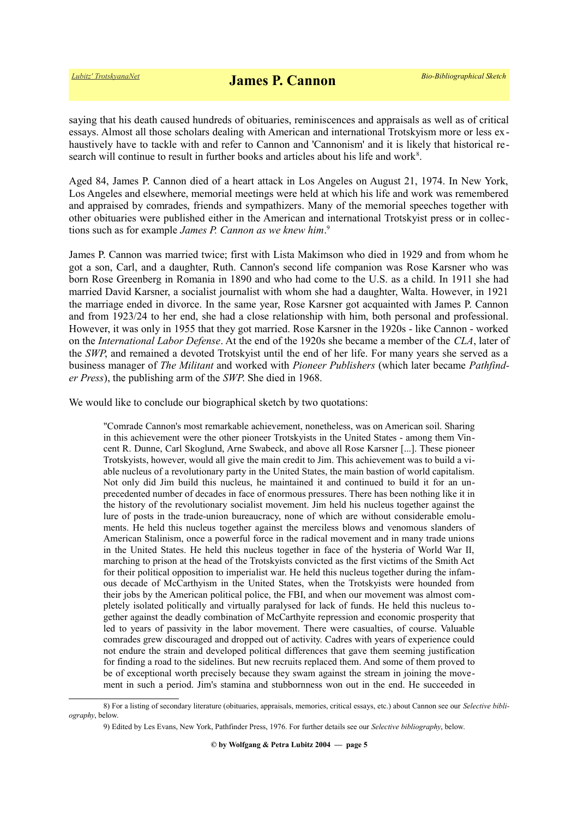saying that his death caused hundreds of obituaries, reminiscences and appraisals as well as of critical essays. Almost all those scholars dealing with American and international Trotskyism more or less exhaustively have to tackle with and refer to Cannon and 'Cannonism' and it is likely that historical re-search will continue to result in further books and articles about his life and work<sup>[8](#page-4-0)</sup>.

Aged 84, James P. Cannon died of a heart attack in Los Angeles on August 21, 1974. In New York, Los Angeles and elsewhere, memorial meetings were held at which his life and work was remembered and appraised by comrades, friends and sympathizers. Many of the memorial speeches together with other obituaries were published either in the American and international Trotskyist press or in collections such as for example *James P. Cannon as we knew him*. [9](#page-4-1)

James P. Cannon was married twice; first with Lista Makimson who died in 1929 and from whom he got a son, Carl, and a daughter, Ruth. Cannon's second life companion was Rose Karsner who was born Rose Greenberg in Romania in 1890 and who had come to the U.S. as a child. In 1911 she had married David Karsner, a socialist journalist with whom she had a daughter, Walta. However, in 1921 the marriage ended in divorce. In the same year, Rose Karsner got acquainted with James P. Cannon and from 1923/24 to her end, she had a close relationship with him, both personal and professional. However, it was only in 1955 that they got married. Rose Karsner in the 1920s - like Cannon - worked on the *International Labor Defense*. At the end of the 1920s she became a member of the *CLA*, later of the *SWP*, and remained a devoted Trotskyist until the end of her life. For many years she served as a business manager of *The Militant* and worked with *Pioneer Publishers* (which later became *Pathfinder Press*), the publishing arm of the *SWP*. She died in 1968.

We would like to conclude our biographical sketch by two quotations:

"Comrade Cannon's most remarkable achievement, nonetheless, was on American soil. Sharing in this achievement were the other pioneer Trotskyists in the United States - among them Vincent R. Dunne, Carl Skoglund, Arne Swabeck, and above all Rose Karsner [...]. These pioneer Trotskyists, however, would all give the main credit to Jim. This achievement was to build a viable nucleus of a revolutionary party in the United States, the main bastion of world capitalism. Not only did Jim build this nucleus, he maintained it and continued to build it for an unprecedented number of decades in face of enormous pressures. There has been nothing like it in the history of the revolutionary socialist movement. Jim held his nucleus together against the lure of posts in the trade-union bureaucracy, none of which are without considerable emoluments. He held this nucleus together against the merciless blows and venomous slanders of American Stalinism, once a powerful force in the radical movement and in many trade unions in the United States. He held this nucleus together in face of the hysteria of World War II, marching to prison at the head of the Trotskyists convicted as the first victims of the Smith Act for their political opposition to imperialist war. He held this nucleus together during the infamous decade of McCarthyism in the United States, when the Trotskyists were hounded from their jobs by the American political police, the FBI, and when our movement was almost completely isolated politically and virtually paralysed for lack of funds. He held this nucleus together against the deadly combination of McCarthyite repression and economic prosperity that led to years of passivity in the labor movement. There were casualties, of course. Valuable comrades grew discouraged and dropped out of activity. Cadres with years of experience could not endure the strain and developed political differences that gave them seeming justification for finding a road to the sidelines. But new recruits replaced them. And some of them proved to be of exceptional worth precisely because they swam against the stream in joining the movement in such a period. Jim's stamina and stubbornness won out in the end. He succeeded in

<sup>8)</sup> For a listing of secondary literature (obituaries, appraisals, memories, critical essays, etc.) about Cannon see our *Selective bibliography*, below.

<span id="page-4-1"></span><span id="page-4-0"></span><sup>9)</sup> Edited by Les Evans, New York, Pathfinder Press, 1976. For further details see our *Selective bibliography*, below.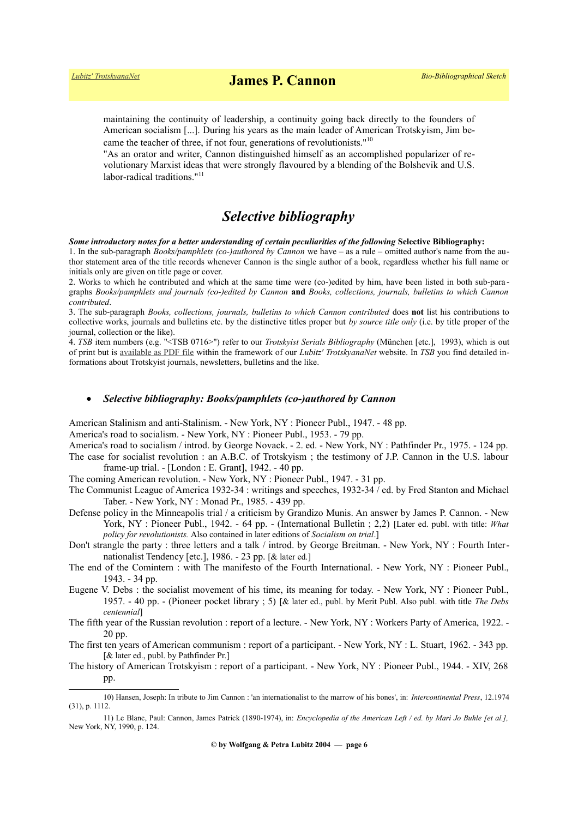maintaining the continuity of leadership, a continuity going back directly to the founders of American socialism [...]. During his years as the main leader of American Trotskyism, Jim became the teacher of three, if not four, generations of revolutionists."[10](#page-5-0)

"As an orator and writer, Cannon distinguished himself as an accomplished popularizer of revolutionary Marxist ideas that were strongly flavoured by a blending of the Bolshevik and U.S. labor-radical traditions."<sup>[11](#page-5-1)</sup>

## *Selective bibliography*

*Some introductory notes for a better understanding of certain peculiarities of the following Selective Bibliography:* 

1. In the sub-paragraph *Books/pamphlets (co-)authored by Cannon* we have – as a rule – omitted author's name from the author statement area of the title records whenever Cannon is the single author of a book, regardless whether his full name or initials only are given on title page or cover.

2. Works to which he contributed and which at the same time were (co-)edited by him, have been listed in both sub-para graphs *Books/pamphlets and journals (co-)edited by Cannon* **and** *Books, collections, journals, bulletins to which Cannon contributed*.

3. The sub-paragraph *Books, collections, journals, bulletins to which Cannon contributed* does **not** list his contributions to collective works, journals and bulletins etc. by the distinctive titles proper but *by source title only* (i.e. by title proper of the journal, collection or the like).

4. *TSB* item numbers (e.g. "<TSB 0716>") refer to our *Trotskyist Serials Bibliography* (München [etc.], 1993), which is out of print but is [available as PDF file](https://www.trotskyana.net/LubitzBibliographies/Trotsky_Bibliography/Leon_Trotsky_Bibliography.html) within the framework of our *Lubitz' TrotskyanaNet* website. In *TSB* you find detailed informations about Trotskyist journals, newsletters, bulletins and the like.

#### *Selective bibliography: Books/pamphlets (co-)authored by Cannon*

American Stalinism and anti-Stalinism. - New York, NY : Pioneer Publ., 1947. - 48 pp.

America's road to socialism. - New York, NY : Pioneer Publ., 1953. - 79 pp.

America's road to socialism / introd. by George Novack. - 2. ed. - New York, NY : Pathfinder Pr., 1975. - 124 pp. The case for socialist revolution : an A.B.C. of Trotskyism ; the testimony of J.P. Cannon in the U.S. labour

frame-up trial. - [London : E. Grant], 1942. - 40 pp.

The coming American revolution. - New York, NY : Pioneer Publ., 1947. - 31 pp.

The Communist League of America 1932-34 : writings and speeches, 1932-34 / ed. by Fred Stanton and Michael Taber. - New York, NY : Monad Pr., 1985. - 439 pp.

- Defense policy in the Minneapolis trial / a criticism by Grandizo Munis. An answer by James P. Cannon. New York, NY : Pioneer Publ., 1942. - 64 pp. - (International Bulletin ; 2,2) [Later ed. publ. with title: *What policy for revolutionists.* Also contained in later editions of *Socialism on trial*.]
- Don't strangle the party : three letters and a talk / introd. by George Breitman. New York, NY : Fourth Internationalist Tendency [etc.], 1986. - 23 pp. [& later ed.]
- The end of the Comintern : with The manifesto of the Fourth International. New York, NY : Pioneer Publ., 1943. - 34 pp.
- Eugene V. Debs : the socialist movement of his time, its meaning for today. New York, NY : Pioneer Publ., 1957. - 40 pp. - (Pioneer pocket library ; 5) [& later ed., publ. by Merit Publ. Also publ. with title *The Debs centennial*]
- The fifth year of the Russian revolution : report of a lecture. New York, NY : Workers Party of America, 1922. 20 pp.
- The first ten years of American communism : report of a participant. New York, NY : L. Stuart, 1962. 343 pp. [& later ed., publ. by Pathfinder Pr.]
- The history of American Trotskyism : report of a participant. New York, NY : Pioneer Publ., 1944. XIV, 268 pp.

<span id="page-5-0"></span><sup>10)</sup> Hansen, Joseph: In tribute to Jim Cannon : 'an internationalist to the marrow of his bones', in: *Intercontinental Press*, 12.1974 (31), p. 1112.

<span id="page-5-1"></span><sup>11)</sup> Le Blanc, Paul: Cannon, James Patrick (1890-1974), in: *Encyclopedia of the American Left / ed. by Mari Jo Buhle [et al.],* New York, NY, 1990, p. 124.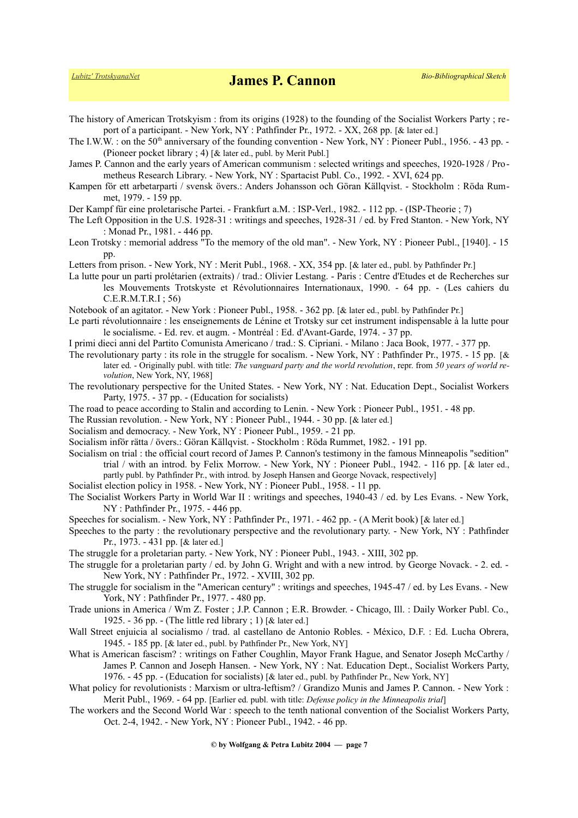The history of American Trotskyism : from its origins (1928) to the founding of the Socialist Workers Party ; report of a participant. - New York, NY : Pathfinder Pr., 1972. - XX, 268 pp. [& later ed.]

The I.W.W. : on the 50<sup>th</sup> anniversary of the founding convention - New York, NY : Pioneer Publ., 1956. - 43 pp. -(Pioneer pocket library ; 4) [& later ed., publ. by Merit Publ.]

- James P. Cannon and the early years of American communism : selected writings and speeches, 1920-1928 / Prometheus Research Library. - New York, NY : Spartacist Publ. Co., 1992. - XVI, 624 pp.
- Kampen för ett arbetarparti / svensk övers.: Anders Johansson och Göran Källqvist. Stockholm : Röda Rummet, 1979. - 159 pp.
- Der Kampf für eine proletarische Partei. Frankfurt a.M. : ISP-Verl., 1982. 112 pp. (ISP-Theorie ; 7)
- The Left Opposition in the U.S. 1928-31 : writings and speeches, 1928-31 / ed. by Fred Stanton. New York, NY : Monad Pr., 1981. - 446 pp.
- Leon Trotsky : memorial address "To the memory of the old man". New York, NY : Pioneer Publ., [1940]. 15 pp.
- Letters from prison. New York, NY : Merit Publ., 1968. XX, 354 pp. [& later ed., publ. by Pathfinder Pr.]
- La lutte pour un parti prolétarien (extraits) / trad.: Olivier Lestang. Paris : Centre d'Etudes et de Recherches sur les Mouvements Trotskyste et Révolutionnaires Internationaux, 1990. - 64 pp. - (Les cahiers du C.E.R.M.T.R.I ; 56)
- Notebook of an agitator. New York : Pioneer Publ., 1958. 362 pp. [& later ed., publ. by Pathfinder Pr.]
- Le parti révolutionnaire : les enseignements de Lénine et Trotsky sur cet instrument indispensable à la lutte pour le socialisme. - Ed. rev. et augm. - Montréal : Ed. d'Avant-Garde, 1974. - 37 pp.
- I primi dieci anni del Partito Comunista Americano / trad.: S. Cipriani. Milano : Jaca Book, 1977. 377 pp.
- The revolutionary party : its role in the struggle for socalism. New York, NY : Pathfinder Pr., 1975. 15 pp. [& later ed. - Originally publ. with title: *The vanguard party and the world revolution*, repr. from *50 years of world revolution*, New York, NY, 1968]
- The revolutionary perspective for the United States. New York, NY : Nat. Education Dept., Socialist Workers Party, 1975. - 37 pp. - (Education for socialists)
- The road to peace according to Stalin and according to Lenin. New York : Pioneer Publ., 1951. 48 pp.
- The Russian revolution. New York, NY : Pioneer Publ., 1944. 30 pp. [& later ed.]
- Socialism and democracy. New York, NY : Pioneer Publ., 1959. 21 pp.
- Socialism inför rätta / övers.: Göran Källqvist. Stockholm : Röda Rummet, 1982. 191 pp.

Socialism on trial : the official court record of James P. Cannon's testimony in the famous Minneapolis "sedition" trial / with an introd. by Felix Morrow. - New York, NY : Pioneer Publ., 1942. - 116 pp. [& later ed., partly publ. by Pathfinder Pr., with introd. by Joseph Hansen and George Novack, respectively]

- Socialist election policy in 1958. New York, NY : Pioneer Publ., 1958. 11 pp.
- The Socialist Workers Party in World War II : writings and speeches, 1940-43 / ed. by Les Evans. New York, NY : Pathfinder Pr., 1975. - 446 pp.
- Speeches for socialism. New York, NY : Pathfinder Pr., 1971. 462 pp. (A Merit book) [& later ed.]
- Speeches to the party : the revolutionary perspective and the revolutionary party. New York, NY : Pathfinder Pr., 1973. - 431 pp. [& later ed.]
- The struggle for a proletarian party. New York, NY : Pioneer Publ., 1943. XIII, 302 pp.
- The struggle for a proletarian party / ed. by John G. Wright and with a new introd. by George Novack. 2. ed. New York, NY : Pathfinder Pr., 1972. - XVIII, 302 pp.
- The struggle for socialism in the "American century" : writings and speeches, 1945-47 / ed. by Les Evans. New York, NY : Pathfinder Pr., 1977. - 480 pp.
- Trade unions in America / Wm Z. Foster ; J.P. Cannon ; E.R. Browder. Chicago, Ill. : Daily Worker Publ. Co., 1925. - 36 pp. - (The little red library ; 1) [& later ed.]
- Wall Street enjuicia al socialismo / trad. al castellano de Antonio Robles. México, D.F. : Ed. Lucha Obrera, 1945. - 185 pp. [& later ed., publ. by Pathfinder Pr., New York, NY]
- What is American fascism? : writings on Father Coughlin, Mayor Frank Hague, and Senator Joseph McCarthy / James P. Cannon and Joseph Hansen. - New York, NY : Nat. Education Dept., Socialist Workers Party, 1976. - 45 pp. - (Education for socialists) [& later ed., publ. by Pathfinder Pr., New York, NY]
- What policy for revolutionists : Marxism or ultra-leftism? / Grandizo Munis and James P. Cannon. New York : Merit Publ., 1969. - 64 pp. [Earlier ed. publ. with title: *Defense policy in the Minneapolis trial*]
- The workers and the Second World War : speech to the tenth national convention of the Socialist Workers Party, Oct. 2-4, 1942. - New York, NY : Pioneer Publ., 1942. - 46 pp.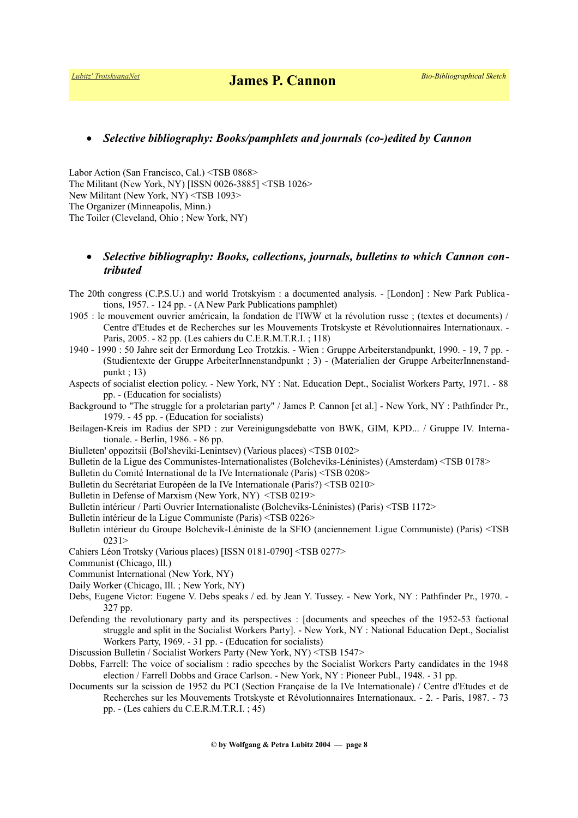### *Selective bibliography: Books/pamphlets and journals (co-)edited by Cannon*

Labor Action (San Francisco, Cal.) <TSB 0868> The Militant (New York, NY) [ISSN 0026-3885] <TSB 1026> New Militant (New York, NY) <TSB 1093> The Organizer (Minneapolis, Minn.) The Toiler (Cleveland, Ohio ; New York, NY)

### *Selective bibliography: Books, collections, journals, bulletins to which Cannon contributed*

- The 20th congress (C.P.S.U.) and world Trotskyism : a documented analysis. [London] : New Park Publica tions, 1957. - 124 pp. - (A New Park Publications pamphlet)
- 1905 : le mouvement ouvrier américain, la fondation de l'IWW et la révolution russe ; (textes et documents) / Centre d'Etudes et de Recherches sur les Mouvements Trotskyste et Révolutionnaires Internationaux. - Paris, 2005. - 82 pp. (Les cahiers du C.E.R.M.T.R.I. ; 118)
- 1940 1990 : 50 Jahre seit der Ermordung Leo Trotzkis. Wien : Gruppe Arbeiterstandpunkt, 1990. 19, 7 pp. (Studientexte der Gruppe ArbeiterInnenstandpunkt ; 3) - (Materialien der Gruppe ArbeiterInnenstandpunkt ; 13)
- Aspects of socialist election policy. New York, NY : Nat. Education Dept., Socialist Workers Party, 1971. 88 pp. - (Education for socialists)
- Background to "The struggle for a proletarian party" / James P. Cannon [et al.] New York, NY : Pathfinder Pr., 1979. - 45 pp. - (Education for socialists)
- Beilagen-Kreis im Radius der SPD : zur Vereinigungsdebatte von BWK, GIM, KPD... / Gruppe IV. Internationale. - Berlin, 1986. - 86 pp.
- Biulleten' oppozitsii (Bol'sheviki-Lenintsev) (Various places) <TSB 0102>
- Bulletin de la Ligue des Communistes-Internationalistes (Bolcheviks-Léninistes) (Amsterdam) <TSB 0178>
- Bulletin du Comité International de la IVe Internationale (Paris) <TSB 0208>
- Bulletin du Secrétariat Européen de la IVe Internationale (Paris?) <TSB 0210>
- Bulletin in Defense of Marxism (New York, NY) <TSB 0219>
- Bulletin intérieur / Parti Ouvrier Internationaliste (Bolcheviks-Léninistes) (Paris) <TSB 1172>
- Bulletin intérieur de la Ligue Communiste (Paris) <TSB 0226>
- Bulletin intérieur du Groupe Bolchevik-Léniniste de la SFIO (anciennement Ligue Communiste) (Paris) <TSB 0231>
- Cahiers Léon Trotsky (Various places) [ISSN 0181-0790] <TSB 0277>
- Communist (Chicago, Ill.)
- Communist International (New York, NY)
- Daily Worker (Chicago, Ill. ; New York, NY)
- Debs, Eugene Victor: Eugene V. Debs speaks / ed. by Jean Y. Tussey. New York, NY : Pathfinder Pr., 1970. 327 pp.
- Defending the revolutionary party and its perspectives : [documents and speeches of the 1952-53 factional struggle and split in the Socialist Workers Party]. - New York, NY : National Education Dept., Socialist Workers Party, 1969. - 31 pp. - (Education for socialists)
- Discussion Bulletin / Socialist Workers Party (New York, NY) <TSB 1547>
- Dobbs, Farrell: The voice of socialism : radio speeches by the Socialist Workers Party candidates in the 1948 election / Farrell Dobbs and Grace Carlson. - New York, NY : Pioneer Publ., 1948. - 31 pp.
- Documents sur la scission de 1952 du PCI (Section Française de la IVe Internationale) / Centre d'Etudes et de Recherches sur les Mouvements Trotskyste et Révolutionnaires Internationaux. - 2. - Paris, 1987. - 73 pp. - (Les cahiers du C.E.R.M.T.R.I. ; 45)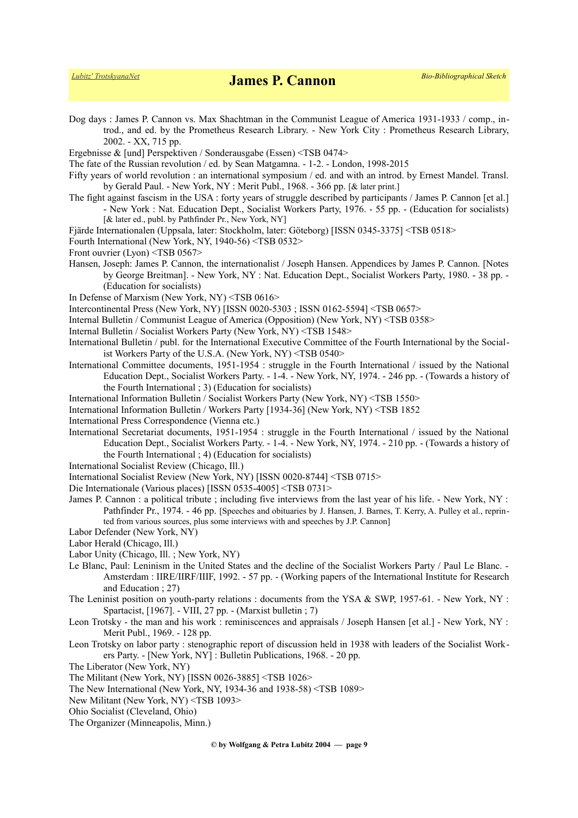Dog days : James P. Cannon vs. Max Shachtman in the Communist League of America 1931-1933 / comp., introd., and ed. by the Prometheus Research Library. - New York City : Prometheus Research Library, 2002. - XX, 715 pp.

Ergebnisse & [und] Perspektiven / Sonderausgabe (Essen) <TSB 0474>

The fate of the Russian revolution / ed. by Sean Matgamna. - 1-2. - London, 1998-2015

- Fifty years of world revolution : an international symposium / ed. and with an introd. by Ernest Mandel. Transl. by Gerald Paul. - New York, NY : Merit Publ., 1968. - 366 pp. [& later print.]
- The fight against fascism in the USA : forty years of struggle described by participants / James P. Cannon [et al.] - New York : Nat. Education Dept., Socialist Workers Party, 1976. - 55 pp. - (Education for socialists) [& later ed., publ. by Pathfinder Pr., New York, NY]
- Fjärde Internationalen (Uppsala, later: Stockholm, later: Göteborg) [ISSN 0345-3375] <TSB 0518>
- Fourth International (New York, NY, 1940-56) <TSB 0532>
- Front ouvrier (Lyon) <TSB 0567>
- Hansen, Joseph: James P. Cannon, the internationalist / Joseph Hansen. Appendices by James P. Cannon. [Notes by George Breitman]. - New York, NY : Nat. Education Dept., Socialist Workers Party, 1980. - 38 pp. - (Education for socialists)
- In Defense of Marxism (New York, NY) <TSB 0616>

Intercontinental Press (New York, NY) [ISSN 0020-5303 ; ISSN 0162-5594] <TSB 0657>

Internal Bulletin / Communist League of America (Opposition) (New York, NY) <TSB 0358>

- Internal Bulletin / Socialist Workers Party (New York, NY) <TSB 1548>
- International Bulletin / publ. for the International Executive Committee of the Fourth International by the Socialist Workers Party of the U.S.A. (New York, NY) <TSB 0540>
- International Committee documents, 1951-1954 : struggle in the Fourth International / issued by the National Education Dept., Socialist Workers Party. - 1-4. - New York, NY, 1974. - 246 pp. - (Towards a history of the Fourth International ; 3) (Education for socialists)
- International Information Bulletin / Socialist Workers Party (New York, NY) <TSB 1550>
- International Information Bulletin / Workers Party [1934-36] (New York, NY) <TSB 1852

International Press Correspondence (Vienna etc.)

International Secretariat documents, 1951-1954 : struggle in the Fourth International / issued by the National Education Dept., Socialist Workers Party. - 1-4. - New York, NY, 1974. - 210 pp. - (Towards a history of the Fourth International ; 4) (Education for socialists)

International Socialist Review (Chicago, Ill.)

- International Socialist Review (New York, NY) [ISSN 0020-8744] <TSB 0715>
- Die Internationale (Various places) [ISSN 0535-4005] <TSB 0731>
- James P. Cannon : a political tribute ; including five interviews from the last year of his life. New York, NY : Pathfinder Pr., 1974. - 46 pp. [Speeches and obituaries by J. Hansen, J. Barnes, T. Kerry, A. Pulley et al., reprinted from various sources, plus some interviews with and speeches by J.P. Cannon]
- Labor Defender (New York, NY)
- Labor Herald (Chicago, Ill.)
- Labor Unity (Chicago, Ill. ; New York, NY)
- Le Blanc, Paul: Leninism in the United States and the decline of the Socialist Workers Party / Paul Le Blanc. Amsterdam : IIRE/IIRF/IIIF, 1992. - 57 pp. - (Working papers of the International Institute for Research and Education ; 27)
- The Leninist position on youth-party relations : documents from the YSA & SWP, 1957-61. New York, NY : Spartacist, [1967]. - VIII, 27 pp. - (Marxist bulletin ; 7)
- Leon Trotsky the man and his work : reminiscences and appraisals / Joseph Hansen [et al.] New York, NY : Merit Publ., 1969. - 128 pp.
- Leon Trotsky on labor party : stenographic report of discussion held in 1938 with leaders of the Socialist Workers Party. - [New York, NY] : Bulletin Publications, 1968. - 20 pp.
- The Liberator (New York, NY)
- The Militant (New York, NY) [ISSN 0026-3885] <TSB 1026>
- The New International (New York, NY, 1934-36 and 1938-58) <TSB 1089>
- New Militant (New York, NY) <TSB 1093>
- Ohio Socialist (Cleveland, Ohio)
- The Organizer (Minneapolis, Minn.)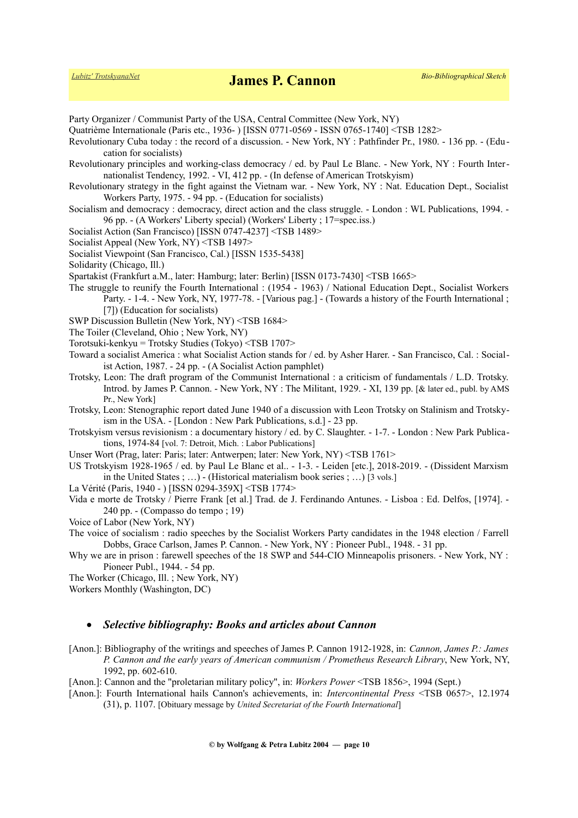Party Organizer / Communist Party of the USA, Central Committee (New York, NY)

Quatrième Internationale (Paris etc., 1936- ) [ISSN 0771-0569 - ISSN 0765-1740] <TSB 1282>

- Revolutionary Cuba today : the record of a discussion. New York, NY : Pathfinder Pr., 1980. 136 pp. (Education for socialists)
- Revolutionary principles and working-class democracy / ed. by Paul Le Blanc. New York, NY : Fourth Internationalist Tendency, 1992. - VI, 412 pp. - (In defense of American Trotskyism)
- Revolutionary strategy in the fight against the Vietnam war. New York, NY : Nat. Education Dept., Socialist Workers Party, 1975. - 94 pp. - (Education for socialists)
- Socialism and democracy : democracy, direct action and the class struggle. London : WL Publications, 1994. 96 pp. - (A Workers' Liberty special) (Workers' Liberty ; 17=spec.iss.)
- Socialist Action (San Francisco) [ISSN 0747-4237] <TSB 1489>
- Socialist Appeal (New York, NY) <TSB 1497>
- Socialist Viewpoint (San Francisco, Cal.) [ISSN 1535-5438]
- Solidarity (Chicago, Ill.)
- Spartakist (Frankfurt a.M., later: Hamburg; later: Berlin) [ISSN 0173-7430] <TSB 1665>
- The struggle to reunify the Fourth International : (1954 1963) / National Education Dept., Socialist Workers Party. - 1-4. - New York, NY, 1977-78. - [Various pag.] - (Towards a history of the Fourth International ; [7]) (Education for socialists)
- SWP Discussion Bulletin (New York, NY) <TSB 1684>
- The Toiler (Cleveland, Ohio ; New York, NY)
- Torotsuki-kenkyu = Trotsky Studies (Tokyo) <TSB 1707>
- Toward a socialist America : what Socialist Action stands for / ed. by Asher Harer. San Francisco, Cal. : Socialist Action, 1987. - 24 pp. - (A Socialist Action pamphlet)
- Trotsky, Leon: The draft program of the Communist International : a criticism of fundamentals / L.D. Trotsky. Introd. by James P. Cannon. - New York, NY : The Militant, 1929. - XI, 139 pp. [& later ed., publ. by AMS Pr., New York]
- Trotsky, Leon: Stenographic report dated June 1940 of a discussion with Leon Trotsky on Stalinism and Trotskyism in the USA. - [London : New Park Publications, s.d.] - 23 pp.
- Trotskyism versus revisionism : a documentary history / ed. by C. Slaughter. 1-7. London : New Park Publications, 1974-84 [vol. 7: Detroit, Mich. : Labor Publications]
- Unser Wort (Prag, later: Paris; later: Antwerpen; later: New York, NY) <TSB 1761>
- US Trotskyism 1928-1965 / ed. by Paul Le Blanc et al.. 1-3. Leiden [etc.], 2018-2019. (Dissident Marxism in the United States ; …) - (Historical materialism book series ; …) [3 vols.]
- La Vérité (Paris, 1940 ) [ISSN 0294-359X] <TSB 1774>
- Vida e morte de Trotsky / Pierre Frank [et al.] Trad. de J. Ferdinando Antunes. Lisboa : Ed. Delfos, [1974]. 240 pp. - (Compasso do tempo ; 19)
- Voice of Labor (New York, NY)
- The voice of socialism : radio speeches by the Socialist Workers Party candidates in the 1948 election / Farrell Dobbs, Grace Carlson, James P. Cannon. - New York, NY : Pioneer Publ., 1948. - 31 pp.
- Why we are in prison : farewell speeches of the 18 SWP and 544-CIO Minneapolis prisoners. New York, NY : Pioneer Publ., 1944. - 54 pp.
- The Worker (Chicago, Ill. ; New York, NY)

Workers Monthly (Washington, DC)

#### *Selective bibliography: Books and articles about Cannon*

- [Anon.]: Bibliography of the writings and speeches of James P. Cannon 1912-1928, in: *Cannon, James P.: James P. Cannon and the early years of American communism / Prometheus Research Library*, New York, NY, 1992, pp. 602-610.
- [Anon.]: Cannon and the "proletarian military policy", in: *Workers Power* <TSB 1856>, 1994 (Sept.)
- [Anon.]: Fourth International hails Cannon's achievements, in: *Intercontinental Press* <TSB 0657>, 12.1974 (31), p. 1107. [Obituary message by *United Secretariat of the Fourth International*]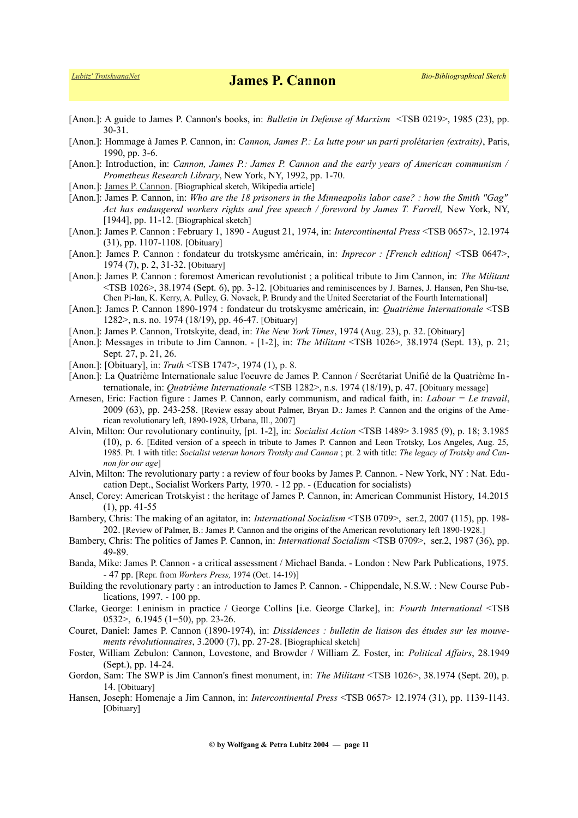- [Anon.]: A guide to James P. Cannon's books, in: *Bulletin in Defense of Marxism* <TSB 0219>, 1985 (23), pp. 30-31.
- [Anon.]: Hommage à James P. Cannon, in: *Cannon, James P.: La lutte pour un parti prolétarien (extraits)*, Paris, 1990, pp. 3-6.
- [Anon.]: Introduction, in: *Cannon, James P.: James P. Cannon and the early years of American communism / Prometheus Research Library*, New York, NY, 1992, pp. 1-70.
- [Anon.]: [James P. Cannon.](https://en.wikipedia.org/wiki/James_P._Cannon) [Biographical sketch, Wikipedia article]
- [Anon.]: James P. Cannon, in: *Who are the 18 prisoners in the Minneapolis labor case? : how the Smith "Gag"* Act has endangered workers rights and free speech / foreword by James T. Farrell, New York, NY, [1944], pp. 11-12. [Biographical sketch]
- [Anon.]: James P. Cannon : February 1, 1890 August 21, 1974, in: *Intercontinental Press* <TSB 0657>, 12.1974 (31), pp. 1107-1108. [Obituary]
- [Anon.]: James P. Cannon : fondateur du trotskysme américain, in: *Inprecor : [French edition]* <TSB 0647>, 1974 (7), p. 2, 31-32. [Obituary]
- [Anon.]: James P. Cannon : foremost American revolutionist ; a political tribute to Jim Cannon, in: *The Militant* <TSB 1026>, 38.1974 (Sept. 6), pp. 3-12. [Obituaries and reminiscences by J. Barnes, J. Hansen, Pen Shu-tse, Chen Pi-lan, K. Kerry, A. Pulley, G. Novack, P. Brundy and the United Secretariat of the Fourth International]
- [Anon.]: James P. Cannon 1890-1974 : fondateur du trotskysme américain, in: *Quatrième Internationale* <TSB 1282>, n.s. no. 1974 (18/19), pp. 46-47. [Obituary]
- [Anon.]: James P. Cannon, Trotskyite, dead, in: *The New York Times*, 1974 (Aug. 23), p. 32. [Obituary]
- [Anon.]: Messages in tribute to Jim Cannon. [1-2], in: *The Militant* <TSB 1026>*,* 38.1974 (Sept. 13), p. 21; Sept. 27, p. 21, 26.
- [Anon.]: [Obituary], in: *Truth* <TSB 1747>, 1974 (1), p. 8.
- [Anon.]: La Quatrième Internationale salue l'oeuvre de James P. Cannon / Secrétariat Unifié de la Quatrième Internationale, in: *Quatrième Internationale* <TSB 1282>, n.s. 1974 (18/19), p. 47. [Obituary message]
- Arnesen, Eric: Faction figure : James P. Cannon, early communism, and radical faith, in: *Labour = Le travail*, 2009 (63), pp. 243-258. [Review essay about Palmer, Bryan D.: James P. Cannon and the origins of the American revolutionary left, 1890-1928, Urbana, Ill., 2007]
- Alvin, Milton: Our revolutionary continuity, [pt. 1-2], in: *Socialist Action* <TSB 1489> 3.1985 (9), p. 18; 3.1985 (10), p. 6. [Edited version of a speech in tribute to James P. Cannon and Leon Trotsky, Los Angeles, Aug. 25, 1985. Pt. 1 with title: *Socialist veteran honors Trotsky and Cannon* ; pt. 2 with title: *The legacy of Trotsky and Cannon for our age*]
- Alvin, Milton: The revolutionary party : a review of four books by James P. Cannon. New York, NY : Nat. Education Dept., Socialist Workers Party, 1970. - 12 pp. - (Education for socialists)
- Ansel, Corey: American Trotskyist : the heritage of James P. Cannon, in: American Communist History, 14.2015 (1), pp. 41-55
- Bambery, Chris: The making of an agitator, in: *International Socialism* <TSB 0709>, ser.2, 2007 (115), pp. 198- 202. [Review of Palmer, B.: James P. Cannon and the origins of the American revolutionary left 1890-1928.]
- Bambery, Chris: The politics of James P. Cannon, in: *International Socialism* <TSB 0709>, ser.2, 1987 (36), pp. 49-89.
- Banda, Mike: James P. Cannon a critical assessment / Michael Banda. London : New Park Publications, 1975. - 47 pp. [Repr. from *Workers Press,* 1974 (Oct. 14-19)]
- Building the revolutionary party : an introduction to James P. Cannon. Chippendale, N.S.W. : New Course Publications, 1997. - 100 pp.
- Clarke, George: Leninism in practice / George Collins [i.e. George Clarke], in: *Fourth International* <TSB 0532>, 6.1945 (1=50), pp. 23-26.
- Couret, Daniel: James P. Cannon (1890-1974), in: *Dissidences : bulletin de liaison des études sur les mouvements révolutionnaires*, 3.2000 (7), pp. 27-28. [Biographical sketch]
- Foster, William Zebulon: Cannon, Lovestone, and Browder / William Z. Foster, in: *Political Affairs*, 28.1949 (Sept.), pp. 14-24.
- Gordon, Sam: The SWP is Jim Cannon's finest monument, in: *The Militant* <TSB 1026>, 38.1974 (Sept. 20), p. 14. [Obituary]
- Hansen, Joseph: Homenaje a Jim Cannon, in: *Intercontinental Press* <TSB 0657> 12.1974 (31), pp. 1139-1143. [Obituary]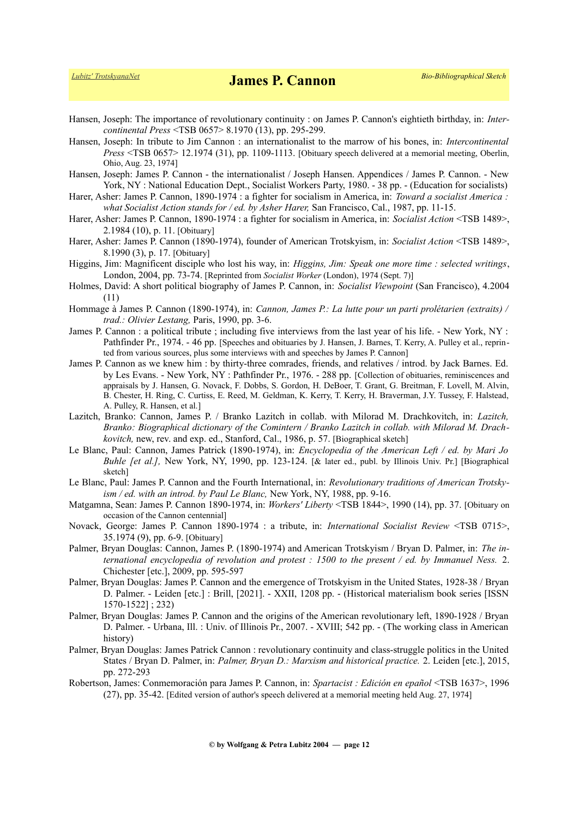- Hansen, Joseph: The importance of revolutionary continuity : on James P. Cannon's eightieth birthday, in: *Intercontinental Press* <TSB 0657> 8.1970 (13), pp. 295-299.
- Hansen, Joseph: In tribute to Jim Cannon : an internationalist to the marrow of his bones, in: *Intercontinental Press* <TSB 0657> 12.1974 (31), pp. 1109-1113. [Obituary speech delivered at a memorial meeting, Oberlin, Ohio, Aug. 23, 1974]
- Hansen, Joseph: James P. Cannon the internationalist / Joseph Hansen. Appendices / James P. Cannon. New York, NY : National Education Dept., Socialist Workers Party, 1980. - 38 pp. - (Education for socialists)
- Harer, Asher: James P. Cannon, 1890-1974 : a fighter for socialism in America, in: *Toward a socialist America : what Socialist Action stands for / ed. by Asher Harer,* San Francisco, Cal., 1987, pp. 11-15.
- Harer, Asher: James P. Cannon, 1890-1974 : a fighter for socialism in America, in: *Socialist Action* <TSB 1489>, 2.1984 (10), p. 11. [Obituary]
- Harer, Asher: James P. Cannon (1890-1974), founder of American Trotskyism, in: *Socialist Action* <TSB 1489>, 8.1990 (3), p. 17. [Obituary]
- Higgins, Jim: Magnificent disciple who lost his way, in: *Higgins, Jim: Speak one more time : selected writings*, London, 2004, pp. 73-74. [Reprinted from *Socialist Worker* (London), 1974 (Sept. 7)]
- Holmes, David: A short political biography of James P. Cannon, in: *Socialist Viewpoint* (San Francisco), 4.2004 (11)
- Hommage à James P. Cannon (1890-1974), in: *Cannon, James P.: La lutte pour un parti prolétarien (extraits) / trad.: Olivier Lestang,* Paris, 1990, pp. 3-6.
- James P. Cannon : a political tribute ; including five interviews from the last year of his life. New York, NY : Pathfinder Pr., 1974. - 46 pp. [Speeches and obituaries by J. Hansen, J. Barnes, T. Kerry, A. Pulley et al., reprinted from various sources, plus some interviews with and speeches by James P. Cannon]
- James P. Cannon as we knew him : by thirty-three comrades, friends, and relatives / introd. by Jack Barnes. Ed. by Les Evans. - New York, NY : Pathfinder Pr., 1976. - 288 pp. [Collection of obituaries, reminiscences and appraisals by J. Hansen, G. Novack, F. Dobbs, S. Gordon, H. DeBoer, T. Grant, G. Breitman, F. Lovell, M. Alvin, B. Chester, H. Ring, C. Curtiss, E. Reed, M. Geldman, K. Kerry, T. Kerry, H. Braverman, J.Y. Tussey, F. Halstead, A. Pulley, R. Hansen, et al.]
- Lazitch, Branko: Cannon, James P. / Branko Lazitch in collab. with Milorad M. Drachkovitch, in: *Lazitch, Branko: Biographical dictionary of the Comintern / Branko Lazitch in collab. with Milorad M. Drachkovitch,* new, rev. and exp. ed., Stanford, Cal., 1986, p. 57. [Biographical sketch]
- Le Blanc, Paul: Cannon, James Patrick (1890-1974), in: *Encyclopedia of the American Left / ed. by Mari Jo Buhle [et al.],* New York, NY, 1990, pp. 123-124. [& later ed., publ. by Illinois Univ. Pr.] [Biographical sketch]
- Le Blanc, Paul: James P. Cannon and the Fourth International, in: *Revolutionary traditions of American Trotskyism / ed. with an introd. by Paul Le Blanc,* New York, NY, 1988, pp. 9-16.
- Matgamna, Sean: James P. Cannon 1890-1974, in: *Workers' Liberty* <TSB 1844>, 1990 (14), pp. 37. [Obituary on occasion of the Cannon centennial]
- Novack, George: James P. Cannon 1890-1974 : a tribute, in: *International Socialist Review* <TSB 0715>, 35.1974 (9), pp. 6-9. [Obituary]
- Palmer, Bryan Douglas: Cannon, James P. (1890-1974) and American Trotskyism / Bryan D. Palmer, in: *The international encyclopedia of revolution and protest : 1500 to the present / ed. by Immanuel Ness.* 2. Chichester [etc.], 2009, pp. 595-597
- Palmer, Bryan Douglas: James P. Cannon and the emergence of Trotskyism in the United States, 1928-38 / Bryan D. Palmer. - Leiden [etc.] : Brill, [2021]. - XXII, 1208 pp. - (Historical materialism book series [ISSN 1570-1522] ; 232)
- Palmer, Bryan Douglas: James P. Cannon and the origins of the American revolutionary left, 1890-1928 / Bryan D. Palmer. - Urbana, Ill. : Univ. of Illinois Pr., 2007. - XVIII; 542 pp. - (The working class in American history)
- Palmer, Bryan Douglas: James Patrick Cannon : revolutionary continuity and class-struggle politics in the United States / Bryan D. Palmer, in: *Palmer, Bryan D.: Marxism and historical practice.* 2. Leiden [etc.], 2015, pp. 272-293
- Robertson, James: Conmemoración para James P. Cannon, in: *Spartacist : Edición en epañol* <TSB 1637>, 1996 (27), pp. 35-42. [Edited version of author's speech delivered at a memorial meeting held Aug. 27, 1974]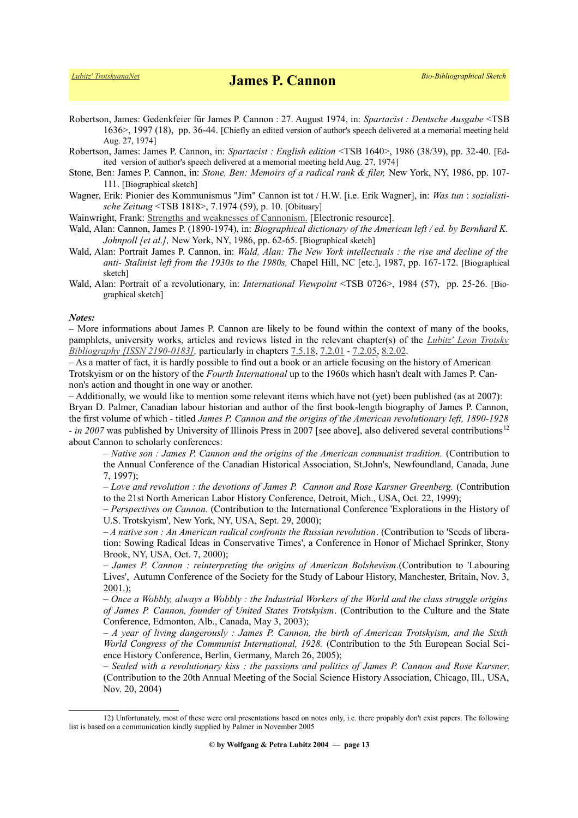Robertson, James: Gedenkfeier für James P. Cannon : 27. August 1974, in: *Spartacist : Deutsche Ausgabe* <TSB 1636>, 1997 (18), pp. 36-44. [Chiefly an edited version of author's speech delivered at a memorial meeting held Aug. 27, 1974]

Robertson, James: James P. Cannon, in: *Spartacist : English edition* <TSB 1640>, 1986 (38/39), pp. 32-40. [Edited version of author's speech delivered at a memorial meeting held Aug. 27, 1974]

- Stone, Ben: James P. Cannon, in: *Stone, Ben: Memoirs of a radical rank & filer,* New York, NY, 1986, pp. 107- 111. [Biographical sketch]
- Wagner, Erik: Pionier des Kommunismus "Jim" Cannon ist tot / H.W. [i.e. Erik Wagner], in: *Was tun* : *sozialistische Zeitung* <TSB 1818>, 7.1974 (59), p. 10. [Obituary]

Wainwright, Frank: [Strengths and weaknesses of Cannonism.](http://www.theorganizer.org/FI/Cannonism.html) [Electronic resource].

- Wald, Alan: Cannon, James P. (1890-1974), in: *Biographical dictionary of the American left / ed. by Bernhard K. Johnpoll [et al.],* New York, NY, 1986, pp. 62-65. [Biographical sketch]
- Wald, Alan: Portrait James P. Cannon, in: *Wald, Alan: The New York intellectuals : the rise and decline of the anti- Stalinist left from the 1930s to the 1980s,* Chapel Hill, NC [etc.], 1987, pp. 167-172. [Biographical sketch]
- Wald, Alan: Portrait of a revolutionary, in: *International Viewpoint* <TSB 0726>, 1984 (57), pp. 25-26. [Biographical sketch]

#### *Notes:*

*–* More informations about James P. Cannon are likely to be found within the context of many of the books, pamphlets, university works, articles and reviews listed in the relevant chapter(s) of the *[Lubitz' Leon Trotsky](https://www.trotskyana.net/LubitzBibliographies/Trotsky_Bibliography/Leon_Trotsky_Bibliography.html) [Bibliography \[ISSN 2190-0183\],](https://www.trotskyana.net/LubitzBibliographies/Trotsky_Bibliography/Leon_Trotsky_Bibliography.html)* particularly in chapters [7.5.18,](https://www.trotskyana.net/LubitzBibliographies/Trotsky_Bibliography/Leon_Trotsky_Bibliography_07.html#c7.5.18) [7.2.01](https://www.trotskyana.net/LubitzBibliographies/Trotsky_Bibliography/Leon_Trotsky_Bibliography_07.html#c7.2.01) - [7.2.05,](https://www.trotskyana.net/LubitzBibliographies/Trotsky_Bibliography/Leon_Trotsky_Bibliography_07.html#c7.2.05) [8.2.02.](https://www.trotskyana.net/LubitzBibliographies/Trotsky_Bibliography/Leon_Trotsky_Bibliography_08.html#c8.2.02)

– As a matter of fact, it is hardly possible to find out a book or an article focusing on the history of American Trotskyism or on the history of the *Fourth International* up to the 1960s which hasn't dealt with James P. Cannon's action and thought in one way or another.

– Additionally, we would like to mention some relevant items which have not (yet) been published (as at 2007): Bryan D. Palmer, Canadian labour historian and author of the first book-length biography of James P. Cannon, the first volume of which - titled *James P. Cannon and the origins of the American revolutionary left, 1890-1928* - *in 2007* was published by University of Illinois Press in 2007 [see above], also delivered several contributions<sup>[12](#page-12-0)</sup> about Cannon to scholarly conferences:

– *Native son : James P. Cannon and the origins of the American communist tradition.* (Contribution to the Annual Conference of the Canadian Historical Association, St.John's, Newfoundland, Canada, June 7, 1997);

– *Love and revolution : the devotions of James P. Cannon and Rose Karsner Greenberg.* (Contribution to the 21st North American Labor History Conference, Detroit, Mich., USA, Oct. 22, 1999);

– *Perspectives on Cannon.* (Contribution to the International Conference 'Explorations in the History of U.S. Trotskyism', New York, NY, USA, Sept. 29, 2000);

– *A native son : An American radical confronts the Russian revolution*. (Contribution to 'Seeds of liberation: Sowing Radical Ideas in Conservative Times', a Conference in Honor of Michael Sprinker, Stony Brook, NY, USA, Oct. 7, 2000);

– *James P. Cannon : reinterpreting the origins of American Bolshevism*.(Contribution to 'Labouring Lives', Autumn Conference of the Society for the Study of Labour History, Manchester, Britain, Nov. 3, 2001.);

– *Once a Wobbly, always a Wobbly : the Industrial Workers of the World and the class struggle origins of James P. Cannon, founder of United States Trotskyism*. (Contribution to the Culture and the State Conference, Edmonton, Alb., Canada, May 3, 2003);

– *A year of living dangerously : James P. Cannon, the birth of American Trotskyism, and the Sixth World Congress of the Communist International, 1928.* (Contribution to the 5th European Social Science History Conference, Berlin, Germany, March 26, 2005);

– *Sealed with a revolutionary kiss : the passions and politics of James P. Cannon and Rose Karsner*. (Contribution to the 20th Annual Meeting of the Social Science History Association, Chicago, Ill., USA, Nov. 20, 2004)

<span id="page-12-0"></span><sup>12)</sup> Unfortunately, most of these were oral presentations based on notes only, i.e. there propably don't exist papers. The following list is based on a communication kindly supplied by Palmer in November 2005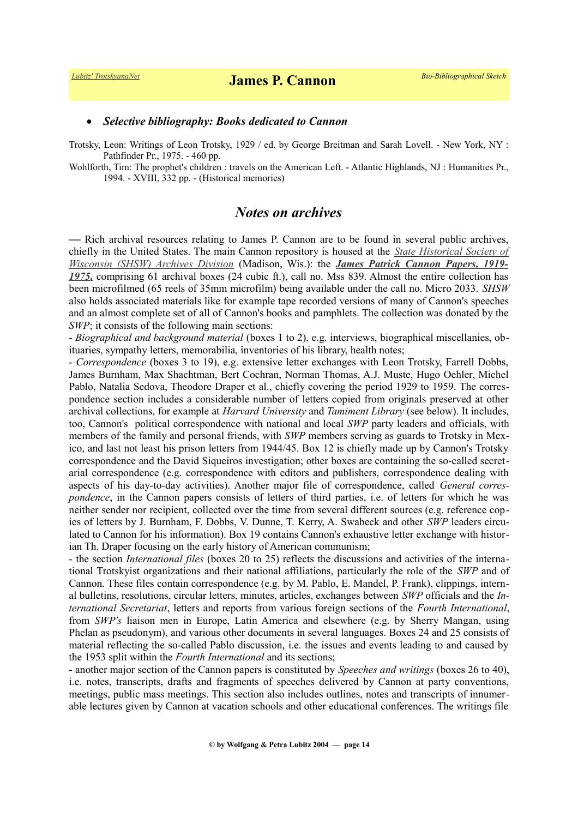#### *Selective bibliography: Books dedicated to Cannon*

Trotsky, Leon: Writings of Leon Trotsky, 1929 / ed. by George Breitman and Sarah Lovell. - New York, NY : Pathfinder Pr., 1975. - 460 pp.

Wohlforth, Tim: The prophet's children : travels on the American Left. - Atlantic Highlands, NJ : Humanities Pr., 1994. - XVIII, 332 pp. - (Historical memories)

### *Notes on archives*

**—** Rich archival resources relating to James P. Cannon are to be found in several public archives, chiefly in the United States. The main Cannon repository is housed at the *[State Historical Society of](https://www.trotskyana.net/Research_facilities/PublicArchives_America/publicarchives_america.html#statehistoricalsociety) [Wisconsin \(SHSW\) Archives Division](https://www.trotskyana.net/Research_facilities/PublicArchives_America/publicarchives_america.html#statehistoricalsociety)* (Madison, Wis.): the *[James Patrick Cannon Papers, 1919-](http://digicoll.library.wisc.edu/cgi/f/findaid/findaid-idx?c=wiarchives;cc=wiarchives;view=text;rgn=main;didno=uw-whs-mss00839)  [1975,](http://digicoll.library.wisc.edu/cgi/f/findaid/findaid-idx?c=wiarchives;cc=wiarchives;view=text;rgn=main;didno=uw-whs-mss00839)* comprising 61 archival boxes (24 cubic ft.), call no. Mss 839. Almost the entire collection has been microfilmed (65 reels of 35mm microfilm) being available under the call no. Micro 2033. *SHSW* also holds associated materials like for example tape recorded versions of many of Cannon's speeches and an almost complete set of all of Cannon's books and pamphlets. The collection was donated by the *SWP*; it consists of the following main sections:

- *Biographical and background material* (boxes 1 to 2), e.g. interviews, biographical miscellanies, obituaries, sympathy letters, memorabilia, inventories of his library, health notes;

- *Correspondence* (boxes 3 to 19), e.g. extensive letter exchanges with Leon Trotsky, Farrell Dobbs, James Burnham, Max Shachtman, Bert Cochran, Norman Thomas, A.J. Muste, Hugo Oehler, Michel Pablo, Natalia Sedova, Theodore Draper et al., chiefly covering the period 1929 to 1959. The correspondence section includes a considerable number of letters copied from originals preserved at other archival collections, for example at *Harvard University* and *Tamiment Library* (see below). It includes, too, Cannon's political correspondence with national and local *SWP* party leaders and officials, with members of the family and personal friends, with *SWP* members serving as guards to Trotsky in Mexico, and last not least his prison letters from 1944/45. Box 12 is chiefly made up by Cannon's Trotsky correspondence and the David Siqueiros investigation; other boxes are containing the so-called secretarial correspondence (e.g. correspondence with editors and publishers, correspondence dealing with aspects of his day-to-day activities). Another major file of correspondence, called *General correspondence*, in the Cannon papers consists of letters of third parties, i.e. of letters for which he was neither sender nor recipient, collected over the time from several different sources (e.g. reference copies of letters by J. Burnham, F. Dobbs, V. Dunne, T. Kerry, A. Swabeck and other *SWP* leaders circulated to Cannon for his information). Box 19 contains Cannon's exhaustive letter exchange with historian Th. Draper focusing on the early history of American communism;

- the section *International files* (boxes 20 to 25) reflects the discussions and activities of the international Trotskyist organizations and their national affiliations, particularly the role of the *SWP* and of Cannon. These files contain correspondence (e.g. by M. Pablo, E. Mandel, P. Frank), clippings, internal bulletins, resolutions, circular letters, minutes, articles, exchanges between *SWP* officials and the *International Secretariat*, letters and reports from various foreign sections of the *Fourth International*, from *SWP's* liaison men in Europe, Latin America and elsewhere (e.g. by Sherry Mangan, using Phelan as pseudonym), and various other documents in several languages. Boxes 24 and 25 consists of material reflecting the so-called Pablo discussion, i.e. the issues and events leading to and caused by the 1953 split within the *Fourth International* and its sections;

- another major section of the Cannon papers is constituted by *Speeches and writings* (boxes 26 to 40), i.e. notes, transcripts, drafts and fragments of speeches delivered by Cannon at party conventions, meetings, public mass meetings. This section also includes outlines, notes and transcripts of innumerable lectures given by Cannon at vacation schools and other educational conferences. The writings file